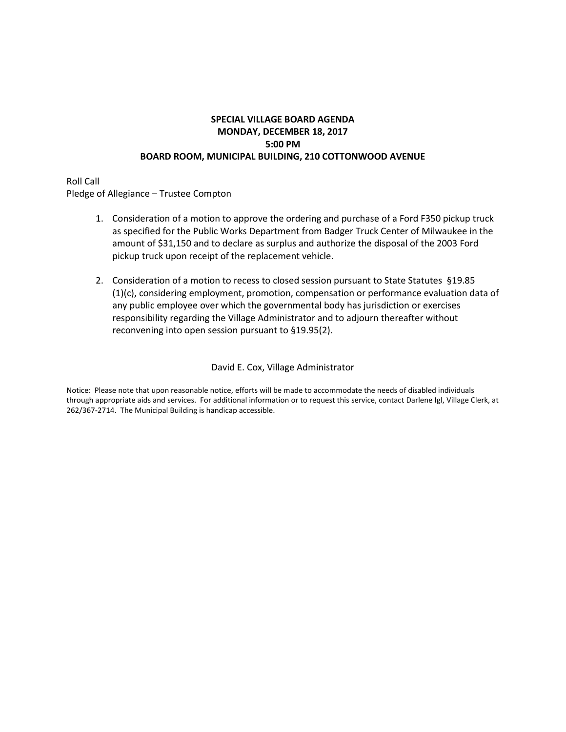### **SPECIAL VILLAGE BOARD AGENDA MONDAY, DECEMBER 18, 2017 5:00 PM BOARD ROOM, MUNICIPAL BUILDING, 210 COTTONWOOD AVENUE**

Roll Call Pledge of Allegiance – Trustee Compton

- 1. Consideration of a motion to approve the ordering and purchase of a Ford F350 pickup truck as specified for the Public Works Department from Badger Truck Center of Milwaukee in the amount of \$31,150 and to declare as surplus and authorize the disposal of the 2003 Ford pickup truck upon receipt of the replacement vehicle.
- 2. Consideration of a motion to recess to closed session pursuant to State Statutes §19.85 (1)(c), considering employment, promotion, compensation or performance evaluation data of any public employee over which the governmental body has jurisdiction or exercises responsibility regarding the Village Administrator and to adjourn thereafter without reconvening into open session pursuant to §19.95(2).

#### David E. Cox, Village Administrator

Notice: Please note that upon reasonable notice, efforts will be made to accommodate the needs of disabled individuals through appropriate aids and services. For additional information or to request this service, contact Darlene Igl, Village Clerk, at 262/367-2714. The Municipal Building is handicap accessible.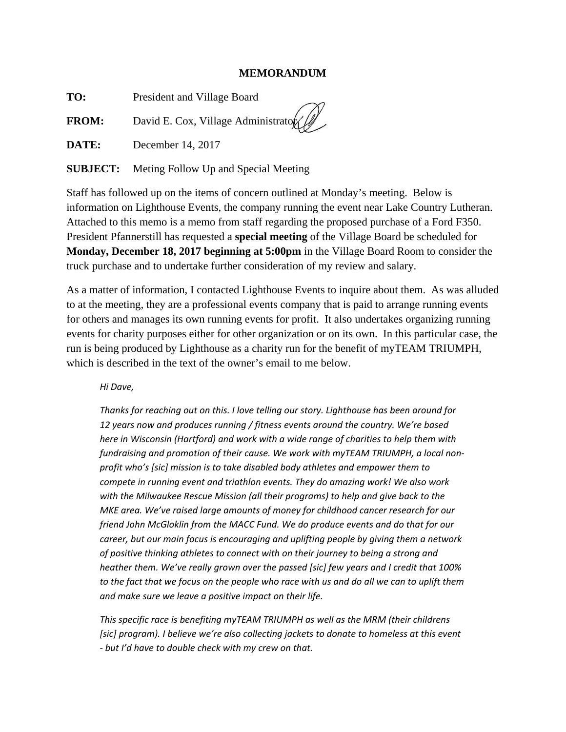#### **MEMORANDUM**

**TO:** President and Village Board

**FROM:** David E. Cox, Village Administrator

**DATE:** December 14, 2017

**SUBJECT:** Meting Follow Up and Special Meeting

Staff has followed up on the items of concern outlined at Monday's meeting. Below is information on Lighthouse Events, the company running the event near Lake Country Lutheran. Attached to this memo is a memo from staff regarding the proposed purchase of a Ford F350. President Pfannerstill has requested a **special meeting** of the Village Board be scheduled for **Monday, December 18, 2017 beginning at 5:00pm** in the Village Board Room to consider the truck purchase and to undertake further consideration of my review and salary.

As a matter of information, I contacted Lighthouse Events to inquire about them. As was alluded to at the meeting, they are a professional events company that is paid to arrange running events for others and manages its own running events for profit. It also undertakes organizing running events for charity purposes either for other organization or on its own. In this particular case, the run is being produced by Lighthouse as a charity run for the benefit of myTEAM TRIUMPH, which is described in the text of the owner's email to me below.

*Hi Dave,* 

*Thanks for reaching out on this. I love telling our story. Lighthouse has been around for 12 years now and produces running / fitness events around the country. We're based here in Wisconsin (Hartford) and work with a wide range of charities to help them with fundraising and promotion of their cause. We work with myTEAM TRIUMPH, a local non‐ profit who's [sic] mission is to take disabled body athletes and empower them to compete in running event and triathlon events. They do amazing work! We also work with the Milwaukee Rescue Mission (all their programs) to help and give back to the MKE area. We've raised large amounts of money for childhood cancer research for our friend John McGloklin from the MACC Fund. We do produce events and do that for our career, but our main focus is encouraging and uplifting people by giving them a network of positive thinking athletes to connect with on their journey to being a strong and heather them. We've really grown over the passed [sic] few years and I credit that 100%* to the fact that we focus on the people who race with us and do all we can to uplift them *and make sure we leave a positive impact on their life.* 

*This specific race is benefiting myTEAM TRIUMPH as well as the MRM (their childrens [sic] program). I believe we're also collecting jackets to donate to homeless at this event ‐ but I'd have to double check with my crew on that.*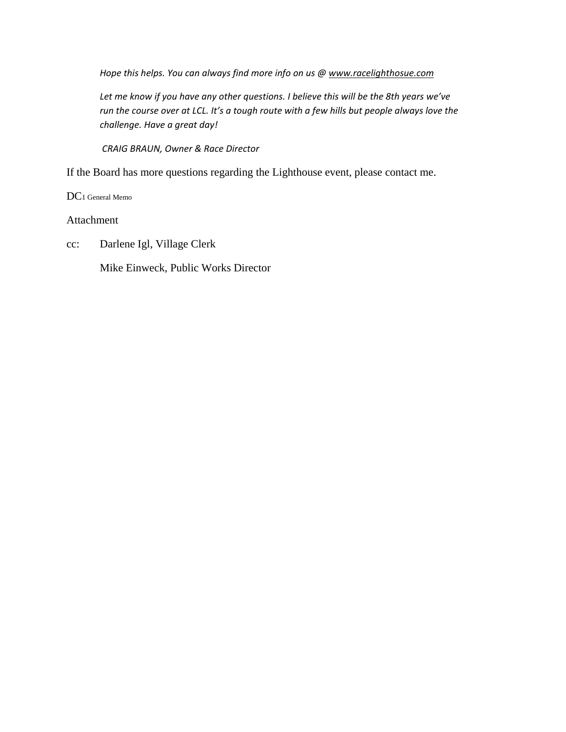*Hope this helps. You can always find more info on us @ www.racelighthosue.com*

*Let me know if you have any other questions. I believe this will be the 8th years we've run the course over at LCL. It's a tough route with a few hills but people always love the challenge. Have a great day!*

*CRAIG BRAUN, Owner & Race Director*

If the Board has more questions regarding the Lighthouse event, please contact me.

DC1 General Memo

Attachment

cc: Darlene Igl, Village Clerk

Mike Einweck, Public Works Director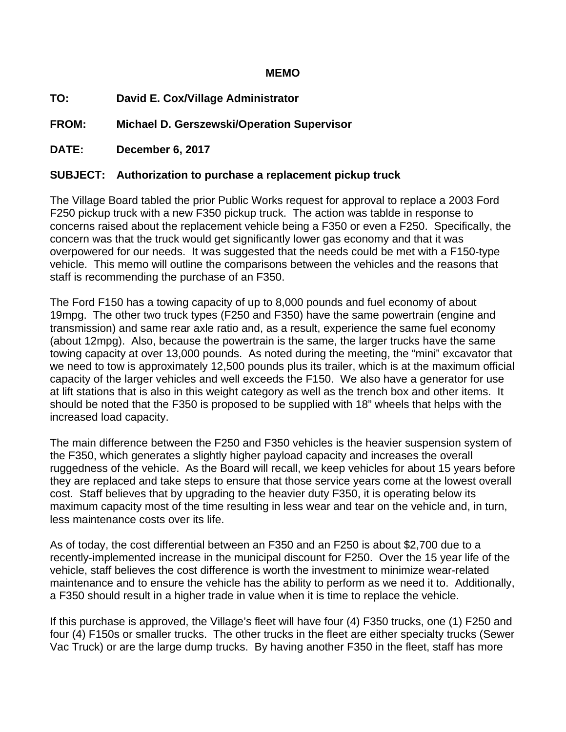## **MEMO**

**TO: David E. Cox/Village Administrator** 

**FROM: Michael D. Gerszewski/Operation Supervisor** 

**DATE: December 6, 2017** 

# **SUBJECT: Authorization to purchase a replacement pickup truck**

The Village Board tabled the prior Public Works request for approval to replace a 2003 Ford F250 pickup truck with a new F350 pickup truck. The action was tablde in response to concerns raised about the replacement vehicle being a F350 or even a F250. Specifically, the concern was that the truck would get significantly lower gas economy and that it was overpowered for our needs. It was suggested that the needs could be met with a F150-type vehicle. This memo will outline the comparisons between the vehicles and the reasons that staff is recommending the purchase of an F350.

The Ford F150 has a towing capacity of up to 8,000 pounds and fuel economy of about 19mpg. The other two truck types (F250 and F350) have the same powertrain (engine and transmission) and same rear axle ratio and, as a result, experience the same fuel economy (about 12mpg). Also, because the powertrain is the same, the larger trucks have the same towing capacity at over 13,000 pounds. As noted during the meeting, the "mini" excavator that we need to tow is approximately 12,500 pounds plus its trailer, which is at the maximum official capacity of the larger vehicles and well exceeds the F150. We also have a generator for use at lift stations that is also in this weight category as well as the trench box and other items. It should be noted that the F350 is proposed to be supplied with 18" wheels that helps with the increased load capacity.

The main difference between the F250 and F350 vehicles is the heavier suspension system of the F350, which generates a slightly higher payload capacity and increases the overall ruggedness of the vehicle. As the Board will recall, we keep vehicles for about 15 years before they are replaced and take steps to ensure that those service years come at the lowest overall cost. Staff believes that by upgrading to the heavier duty F350, it is operating below its maximum capacity most of the time resulting in less wear and tear on the vehicle and, in turn, less maintenance costs over its life.

As of today, the cost differential between an F350 and an F250 is about \$2,700 due to a recently-implemented increase in the municipal discount for F250. Over the 15 year life of the vehicle, staff believes the cost difference is worth the investment to minimize wear-related maintenance and to ensure the vehicle has the ability to perform as we need it to. Additionally, a F350 should result in a higher trade in value when it is time to replace the vehicle.

If this purchase is approved, the Village's fleet will have four (4) F350 trucks, one (1) F250 and four (4) F150s or smaller trucks. The other trucks in the fleet are either specialty trucks (Sewer Vac Truck) or are the large dump trucks. By having another F350 in the fleet, staff has more